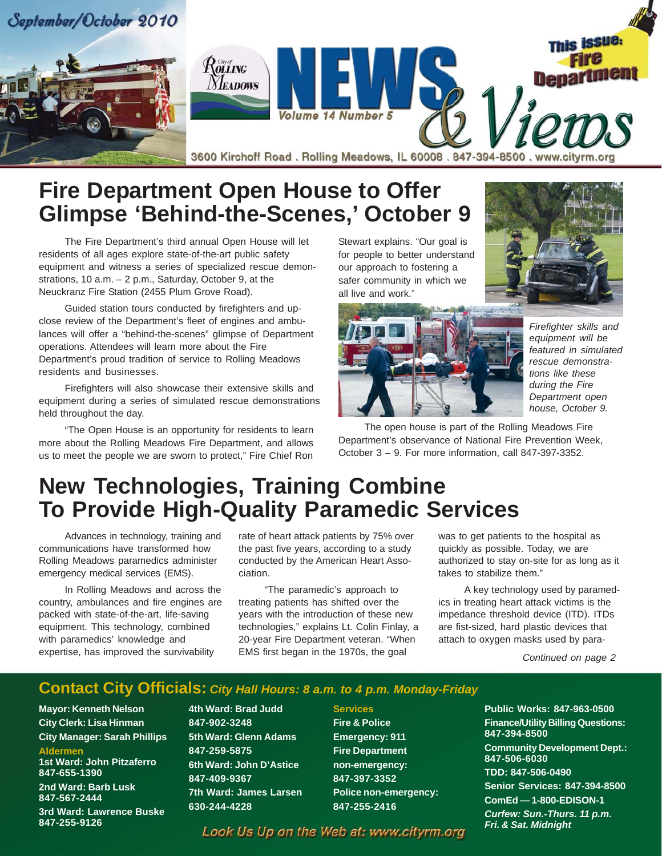

### **Fire Department Open House to Offer Glimpse 'Behind-the-Scenes,' October 9**

The Fire Department's third annual Open House will let residents of all ages explore state-of-the-art public safety equipment and witness a series of specialized rescue demonstrations, 10 a.m. – 2 p.m., Saturday, October 9, at the Neuckranz Fire Station (2455 Plum Grove Road).

Guided station tours conducted by firefighters and upclose review of the Department's fleet of engines and ambulances will offer a "behind-the-scenes" glimpse of Department operations. Attendees will learn more about the Fire Department's proud tradition of service to Rolling Meadows residents and businesses.

Firefighters will also showcase their extensive skills and equipment during a series of simulated rescue demonstrations held throughout the day.

"The Open House is an opportunity for residents to learn more about the Rolling Meadows Fire Department, and allows us to meet the people we are sworn to protect," Fire Chief Ron Stewart explains. "Our goal is for people to better understand our approach to fostering a safer community in which we all live and work."





*Firefighter skills and equipment will be featured in simulated rescue demonstrations like these during the Fire Department open house, October 9.*

The open house is part of the Rolling Meadows Fire Department's observance of National Fire Prevention Week, October 3 – 9. For more information, call 847-397-3352.

# **New Technologies, Training Combine To Provide High-Quality Paramedic Services**

Advances in technology, training and communications have transformed how Rolling Meadows paramedics administer emergency medical services (EMS).

In Rolling Meadows and across the country, ambulances and fire engines are packed with state-of-the-art, life-saving equipment. This technology, combined with paramedics' knowledge and expertise, has improved the survivability

rate of heart attack patients by 75% over the past five years, according to a study conducted by the American Heart Association.

"The paramedic's approach to treating patients has shifted over the years with the introduction of these new technologies," explains Lt. Colin Finlay, a 20-year Fire Department veteran. "When EMS first began in the 1970s, the goal

was to get patients to the hospital as quickly as possible. Today, we are authorized to stay on-site for as long as it takes to stabilize them."

A key technology used by paramedics in treating heart attack victims is the impedance threshold device (ITD). ITDs are fist-sized, hard plastic devices that attach to oxygen masks used by para-

*Continued on page 2*

#### **Contact City Officials:** *City Hall Hours: 8 a.m. to 4 p.m. Monday-Friday*

**Mayor: Kenneth Nelson City Clerk: Lisa Hinman City Manager: Sarah Phillips Aldermen**

**1st Ward: John Pitzaferro 847-655-1390 2nd Ward: Barb Lusk 847-567-2444**

**3rd Ward: Lawrence Buske 847-255-9126**

**4th Ward: Brad Judd 847-902-3248 5th Ward: Glenn Adams 847-259-5875 6th Ward: John D'Astice 847-409-9367 7th Ward: James Larsen 630-244-4228**

**Services Fire & Police Emergency: 911 Fire Department non-emergency: 847-397-3352 Police non-emergency: 847-255-2416**

**Public Works: 847-963-0500 Finance/Utility Billing Questions: 847-394-8500 Community Development Dept.: 847-506-6030 TDD: 847-506-0490 Senior Services: 847-394-8500 ComEd — 1-800-EDISON-1** *Curfew: Sun.-Thurs. 11 p.m. Fri. & Sat. Midnight*

Look Us Up on the Web at: www.cityrm.org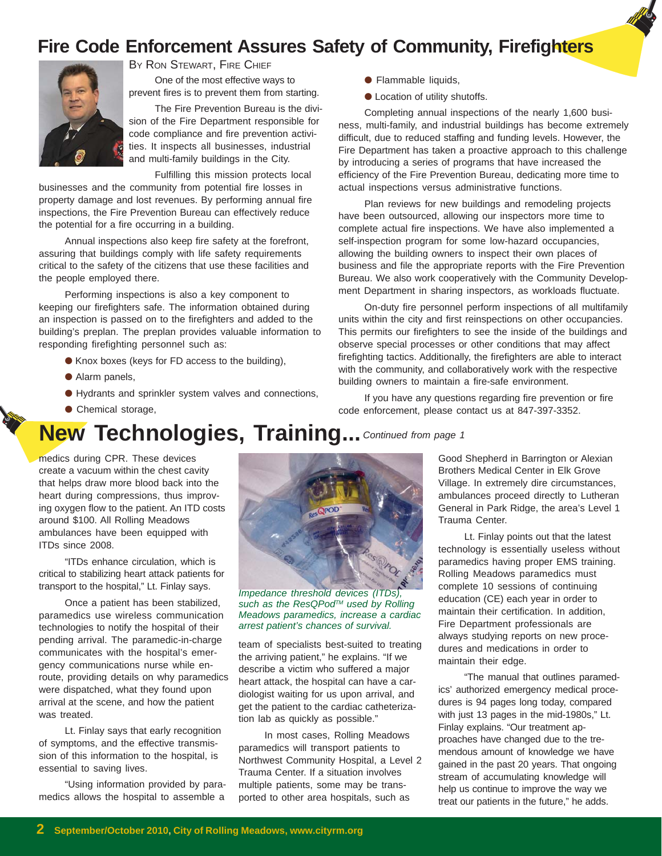### **Fire Code Enforcement Assures Safety of Community, Firefighters**



One of the most effective ways to BY RON STEWART, FIRE CHIEF

prevent fires is to prevent them from starting.

The Fire Prevention Bureau is the division of the Fire Department responsible for code compliance and fire prevention activities. It inspects all businesses, industrial and multi-family buildings in the City.

Fulfilling this mission protects local

businesses and the community from potential fire losses in property damage and lost revenues. By performing annual fire inspections, the Fire Prevention Bureau can effectively reduce the potential for a fire occurring in a building.

Annual inspections also keep fire safety at the forefront, assuring that buildings comply with life safety requirements critical to the safety of the citizens that use these facilities and the people employed there.

Performing inspections is also a key component to keeping our firefighters safe. The information obtained during an inspection is passed on to the firefighters and added to the building's preplan. The preplan provides valuable information to responding firefighting personnel such as:

- Knox boxes (keys for FD access to the building),
- Alarm panels,
- Hydrants and sprinkler system valves and connections,
- Chemical storage,

## **New Technologies, Training...** *Continued from page 1*

medics during CPR. These devices create a vacuum within the chest cavity that helps draw more blood back into the heart during compressions, thus improving oxygen flow to the patient. An ITD costs around \$100. All Rolling Meadows ambulances have been equipped with ITDs since 2008.

"ITDs enhance circulation, which is critical to stabilizing heart attack patients for transport to the hospital," Lt. Finlay says.

Once a patient has been stabilized, paramedics use wireless communication technologies to notify the hospital of their pending arrival. The paramedic-in-charge communicates with the hospital's emergency communications nurse while enroute, providing details on why paramedics were dispatched, what they found upon arrival at the scene, and how the patient was treated.

Lt. Finlay says that early recognition of symptoms, and the effective transmission of this information to the hospital, is essential to saving lives.

"Using information provided by paramedics allows the hospital to assemble a



*Impedance threshold devices (ITDs), such as the ResQPodTM used by Rolling Meadows paramedics, increase a cardiac arrest patient's chances of survival.*

team of specialists best-suited to treating the arriving patient," he explains. "If we describe a victim who suffered a major heart attack, the hospital can have a cardiologist waiting for us upon arrival, and get the patient to the cardiac catheterization lab as quickly as possible."

In most cases, Rolling Meadows paramedics will transport patients to Northwest Community Hospital, a Level 2 Trauma Center. If a situation involves multiple patients, some may be transported to other area hospitals, such as

- Flammable liquids,
- Location of utility shutoffs.

Completing annual inspections of the nearly 1,600 business, multi-family, and industrial buildings has become extremely difficult, due to reduced staffing and funding levels. However, the Fire Department has taken a proactive approach to this challenge by introducing a series of programs that have increased the efficiency of the Fire Prevention Bureau, dedicating more time to actual inspections versus administrative functions.

Plan reviews for new buildings and remodeling projects have been outsourced, allowing our inspectors more time to complete actual fire inspections. We have also implemented a self-inspection program for some low-hazard occupancies, allowing the building owners to inspect their own places of business and file the appropriate reports with the Fire Prevention Bureau. We also work cooperatively with the Community Development Department in sharing inspectors, as workloads fluctuate.

On-duty fire personnel perform inspections of all multifamily units within the city and first reinspections on other occupancies. This permits our firefighters to see the inside of the buildings and observe special processes or other conditions that may affect firefighting tactics. Additionally, the firefighters are able to interact with the community, and collaboratively work with the respective building owners to maintain a fire-safe environment.

If you have any questions regarding fire prevention or fire code enforcement, please contact us at 847-397-3352.

> Good Shepherd in Barrington or Alexian Brothers Medical Center in Elk Grove Village. In extremely dire circumstances, ambulances proceed directly to Lutheran General in Park Ridge, the area's Level 1 Trauma Center.

> Lt. Finlay points out that the latest technology is essentially useless without paramedics having proper EMS training. Rolling Meadows paramedics must complete 10 sessions of continuing education (CE) each year in order to maintain their certification. In addition, Fire Department professionals are always studying reports on new procedures and medications in order to maintain their edge.

> "The manual that outlines paramedics' authorized emergency medical procedures is 94 pages long today, compared with just 13 pages in the mid-1980s," Lt. Finlay explains. "Our treatment approaches have changed due to the tremendous amount of knowledge we have gained in the past 20 years. That ongoing stream of accumulating knowledge will help us continue to improve the way we treat our patients in the future," he adds.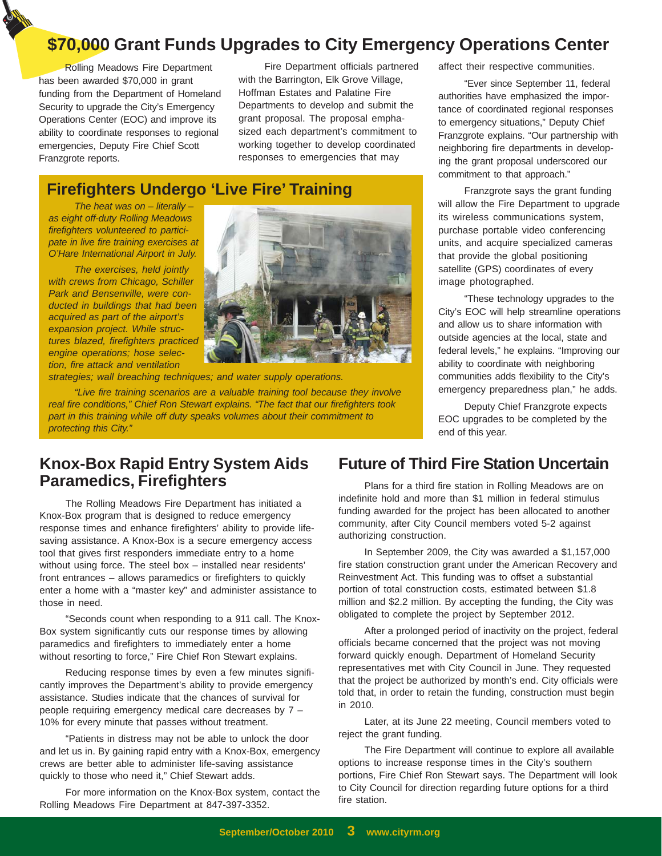### **\$70,000 Grant Funds Upgrades to City Emergency Operations Center**

Rolling Meadows Fire Department has been awarded \$70,000 in grant funding from the Department of Homeland Security to upgrade the City's Emergency Operations Center (EOC) and improve its ability to coordinate responses to regional emergencies, Deputy Fire Chief Scott Franzgrote reports.

Fire Department officials partnered with the Barrington, Elk Grove Village, Hoffman Estates and Palatine Fire Departments to develop and submit the grant proposal. The proposal emphasized each department's commitment to working together to develop coordinated responses to emergencies that may

### **Firefighters Undergo 'Live Fire' Training**

*The heat was on – literally – as eight off-duty Rolling Meadows firefighters volunteered to participate in live fire training exercises at O'Hare International Airport in July.*

*The exercises, held jointly with crews from Chicago, Schiller Park and Bensenville, were conducted in buildings that had been acquired as part of the airport's expansion project. While structures blazed, firefighters practiced engine operations; hose selection, fire attack and ventilation*



*strategies; wall breaching techniques; and water supply operations.*

*"Live fire training scenarios are a valuable training tool because they involve real fire conditions," Chief Ron Stewart explains. "The fact that our firefighters took part in this training while off duty speaks volumes about their commitment to protecting this City."*

affect their respective communities.

"Ever since September 11, federal authorities have emphasized the importance of coordinated regional responses to emergency situations," Deputy Chief Franzgrote explains. "Our partnership with neighboring fire departments in developing the grant proposal underscored our commitment to that approach."

Franzgrote says the grant funding will allow the Fire Department to upgrade its wireless communications system, purchase portable video conferencing units, and acquire specialized cameras that provide the global positioning satellite (GPS) coordinates of every image photographed.

"These technology upgrades to the City's EOC will help streamline operations and allow us to share information with outside agencies at the local, state and federal levels," he explains. "Improving our ability to coordinate with neighboring communities adds flexibility to the City's emergency preparedness plan," he adds.

Deputy Chief Franzgrote expects EOC upgrades to be completed by the end of this year.

#### **Knox-Box Rapid Entry System Aids Paramedics, Firefighters**

The Rolling Meadows Fire Department has initiated a Knox-Box program that is designed to reduce emergency response times and enhance firefighters' ability to provide lifesaving assistance. A Knox-Box is a secure emergency access tool that gives first responders immediate entry to a home without using force. The steel box – installed near residents' front entrances – allows paramedics or firefighters to quickly enter a home with a "master key" and administer assistance to those in need.

"Seconds count when responding to a 911 call. The Knox-Box system significantly cuts our response times by allowing paramedics and firefighters to immediately enter a home without resorting to force," Fire Chief Ron Stewart explains.

Reducing response times by even a few minutes significantly improves the Department's ability to provide emergency assistance. Studies indicate that the chances of survival for people requiring emergency medical care decreases by 7 – 10% for every minute that passes without treatment.

"Patients in distress may not be able to unlock the door and let us in. By gaining rapid entry with a Knox-Box, emergency crews are better able to administer life-saving assistance quickly to those who need it," Chief Stewart adds.

For more information on the Knox-Box system, contact the Rolling Meadows Fire Department at 847-397-3352.

### **Future of Third Fire Station Uncertain**

Plans for a third fire station in Rolling Meadows are on indefinite hold and more than \$1 million in federal stimulus funding awarded for the project has been allocated to another community, after City Council members voted 5-2 against authorizing construction.

In September 2009, the City was awarded a \$1,157,000 fire station construction grant under the American Recovery and Reinvestment Act. This funding was to offset a substantial portion of total construction costs, estimated between \$1.8 million and \$2.2 million. By accepting the funding, the City was obligated to complete the project by September 2012.

After a prolonged period of inactivity on the project, federal officials became concerned that the project was not moving forward quickly enough. Department of Homeland Security representatives met with City Council in June. They requested that the project be authorized by month's end. City officials were told that, in order to retain the funding, construction must begin in 2010.

Later, at its June 22 meeting, Council members voted to reject the grant funding.

The Fire Department will continue to explore all available options to increase response times in the City's southern portions, Fire Chief Ron Stewart says. The Department will look to City Council for direction regarding future options for a third fire station.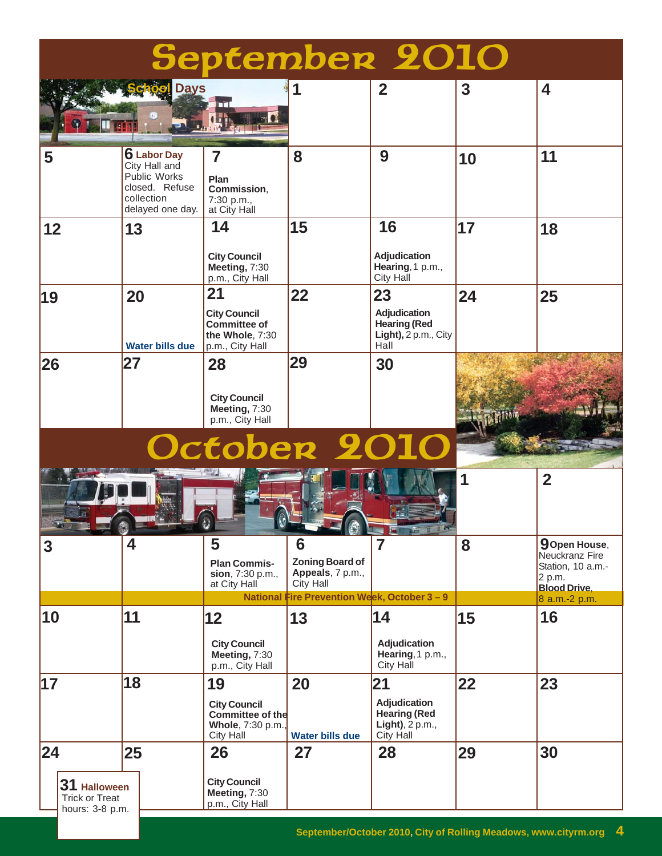| <b>September 2010</b> |                                                          |                                                                                                         |                                                                                        |                                                                     |                                                                                    |                |                                                                                              |
|-----------------------|----------------------------------------------------------|---------------------------------------------------------------------------------------------------------|----------------------------------------------------------------------------------------|---------------------------------------------------------------------|------------------------------------------------------------------------------------|----------------|----------------------------------------------------------------------------------------------|
|                       |                                                          | <b>Days</b>                                                                                             |                                                                                        |                                                                     | $\overline{2}$                                                                     | $\overline{3}$ | 4                                                                                            |
| 5                     |                                                          | <b>6</b> Labor Day<br>City Hall and<br>Public Works<br>closed. Refuse<br>collection<br>delayed one day. | $\overline{7}$<br>Plan<br>Commission,<br>7:30 p.m.,<br>at City Hall                    | 8                                                                   | 9                                                                                  | 10             | 11                                                                                           |
| 12                    |                                                          | 13                                                                                                      | 14<br><b>City Council</b><br>Meeting, 7:30<br>p.m., City Hall                          | 15                                                                  | 16<br>Adjudication<br>Hearing, 1 p.m.,<br>City Hall                                | 17             | 18                                                                                           |
| 19                    |                                                          | 20<br><b>Water bills due</b>                                                                            | 21<br><b>City Council</b><br><b>Committee of</b><br>the Whole, 7:30<br>p.m., City Hall | 22                                                                  | 23<br><b>Adjudication</b><br><b>Hearing (Red</b><br>Light), $2 p.m., City$<br>Hall | 24             | 25                                                                                           |
| 26                    |                                                          | 27                                                                                                      | 28<br><b>City Council</b><br>Meeting, 7:30<br>p.m., City Hall                          | 29                                                                  | 30                                                                                 |                |                                                                                              |
|                       |                                                          |                                                                                                         | <b>October 201</b>                                                                     |                                                                     |                                                                                    |                |                                                                                              |
|                       | <b>SALES THE REAL PROPERTY</b>                           |                                                                                                         | υ                                                                                      | $\mathbb{C} - \mathbb{C}$                                           | <b>ET VE TIME</b>                                                                  | 1              | $\overline{2}$                                                                               |
| $\mathbf{3}$          |                                                          | $\overline{\mathbf{4}}$                                                                                 | 5<br><b>Plan Commis-</b><br>sion, 7:30 p.m.,<br>at City Hall                           | 6<br><b>Zoning Board of</b><br>Appeals, 7 p.m.,<br><b>City Hall</b> | $\overline{7}$                                                                     | 8              | <b>9</b> Open House,<br>Neuckranz Fire<br>Station, 10 a.m.-<br>2 p.m.<br><b>Blood Drive,</b> |
|                       |                                                          |                                                                                                         | <b>National</b>                                                                        | Fire Prevention Week, October $3 - 9$                               |                                                                                    |                | 8 a.m.-2 p.m.                                                                                |
| 10                    |                                                          | 11                                                                                                      | 12<br><b>City Council</b><br>Meeting, 7:30<br>p.m., City Hall                          | 13                                                                  | 14<br><b>Adjudication</b><br>Hearing, 1 p.m.,<br><b>City Hall</b>                  | 15             | 16                                                                                           |
| 17                    |                                                          | 18                                                                                                      | 19<br><b>City Council</b><br><b>Committee of the</b><br>Whole, 7:30 p.m.,<br>City Hall | 20<br><b>Water bills due</b>                                        | 21<br>Adjudication<br><b>Hearing (Red</b><br>Light), 2 p.m.,<br>City Hall          | 22             | 23                                                                                           |
| 24                    |                                                          | 25                                                                                                      | 26                                                                                     | 27                                                                  | 28                                                                                 | 29             | 30                                                                                           |
|                       | 31 Halloween<br><b>Trick or Treat</b><br>hours: 3-8 p.m. |                                                                                                         | <b>City Council</b><br>Meeting, 7:30<br>p.m., City Hall                                |                                                                     |                                                                                    |                |                                                                                              |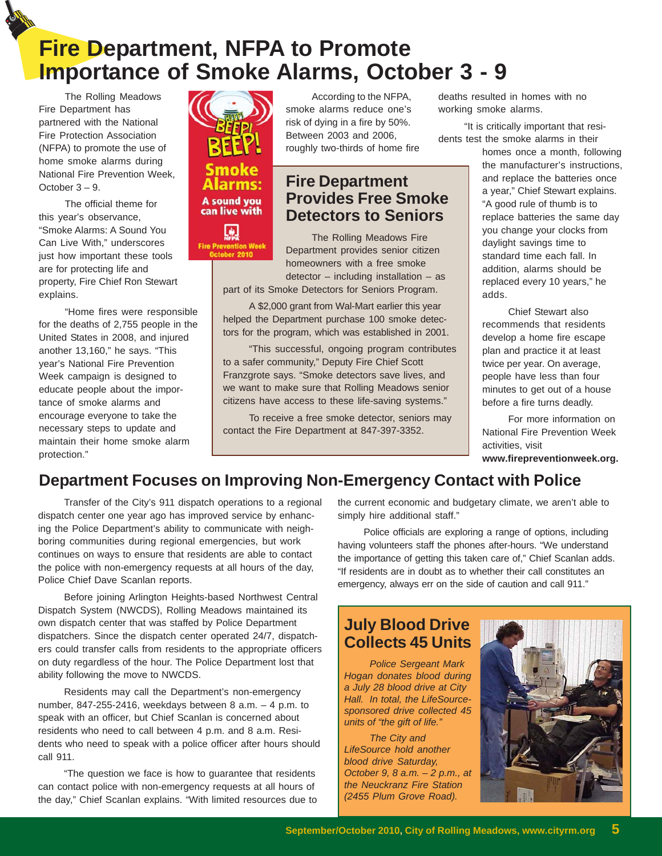# **Fire Department, NFPA to Promote Importance of Smoke Alarms, October 3 - 9**

The Rolling Meadows Fire Department has partnered with the National Fire Protection Association (NFPA) to promote the use of home smoke alarms during National Fire Prevention Week, October 3 – 9.

The official theme for this year's observance, "Smoke Alarms: A Sound You Can Live With," underscores just how important these tools are for protecting life and property, Fire Chief Ron Stewart explains.

"Home fires were responsible for the deaths of 2,755 people in the United States in 2008, and injured another 13,160," he says. "This year's National Fire Prevention Week campaign is designed to educate people about the importance of smoke alarms and encourage everyone to take the necessary steps to update and maintain their home smoke alarm protection."



can live with



According to the NFPA, smoke alarms reduce one's risk of dying in a fire by 50%. Between 2003 and 2006, roughly two-thirds of home fire

### **Fire Department Provides Free Smoke Detectors to Seniors**

The Rolling Meadows Fire Department provides senior citizen homeowners with a free smoke  $d$  detector – including installation – as

part of its Smoke Detectors for Seniors Program.

A \$2,000 grant from Wal-Mart earlier this year helped the Department purchase 100 smoke detectors for the program, which was established in 2001.

"This successful, ongoing program contributes to a safer community," Deputy Fire Chief Scott Franzgrote says. "Smoke detectors save lives, and we want to make sure that Rolling Meadows senior citizens have access to these life-saving systems."

To receive a free smoke detector, seniors may contact the Fire Department at 847-397-3352.

deaths resulted in homes with no working smoke alarms.

"It is critically important that residents test the smoke alarms in their

homes once a month, following the manufacturer's instructions, and replace the batteries once a year," Chief Stewart explains. "A good rule of thumb is to replace batteries the same day you change your clocks from daylight savings time to standard time each fall. In addition, alarms should be replaced every 10 years," he adds.

Chief Stewart also recommends that residents develop a home fire escape plan and practice it at least twice per year. On average, people have less than four minutes to get out of a house before a fire turns deadly.

For more information on National Fire Prevention Week activities, visit

#### **www.firepreventionweek.org.**

### **Department Focuses on Improving Non-Emergency Contact with Police**

Transfer of the City's 911 dispatch operations to a regional dispatch center one year ago has improved service by enhancing the Police Department's ability to communicate with neighboring communities during regional emergencies, but work continues on ways to ensure that residents are able to contact the police with non-emergency requests at all hours of the day, Police Chief Dave Scanlan reports.

Before joining Arlington Heights-based Northwest Central Dispatch System (NWCDS), Rolling Meadows maintained its own dispatch center that was staffed by Police Department dispatchers. Since the dispatch center operated 24/7, dispatchers could transfer calls from residents to the appropriate officers on duty regardless of the hour. The Police Department lost that ability following the move to NWCDS.

Residents may call the Department's non-emergency number, 847-255-2416, weekdays between 8 a.m. – 4 p.m. to speak with an officer, but Chief Scanlan is concerned about residents who need to call between 4 p.m. and 8 a.m. Residents who need to speak with a police officer after hours should call 911.

"The question we face is how to guarantee that residents can contact police with non-emergency requests at all hours of the day," Chief Scanlan explains. "With limited resources due to the current economic and budgetary climate, we aren't able to simply hire additional staff."

Police officials are exploring a range of options, including having volunteers staff the phones after-hours. "We understand the importance of getting this taken care of," Chief Scanlan adds. "If residents are in doubt as to whether their call constitutes an emergency, always err on the side of caution and call 911."

### **July Blood Drive Collects 45 Units**

*Police Sergeant Mark Hogan donates blood during a July 28 blood drive at City Hall. In total, the LifeSourcesponsored drive collected 45 units of "the gift of life."*

*The City and LifeSource hold another blood drive Saturday, October 9, 8 a.m. – 2 p.m., at the Neuckranz Fire Station (2455 Plum Grove Road).*